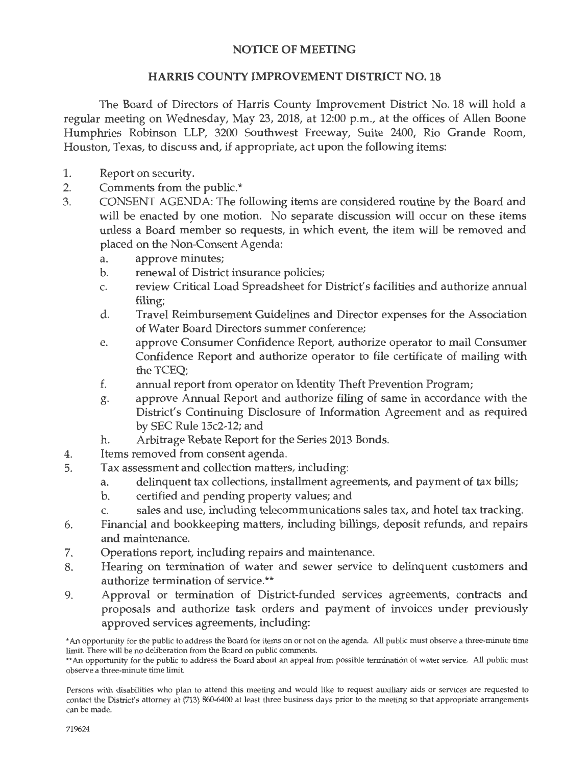## NOTICE OF MEETING

## HARRIS COUNTY IMPROVEMENT DISTRICT NO. 18

The Board of Directors of Harris County Improvement District No. 18 will hold a regular meeting on Wednesday, May 23, 2018, at 12:00 p.m., at the offices of Allen Boone Humphries Robinson LLP, 3200 Southwest Freeway, Suite 2400, Rio Grande Room, Houston, Texas, to discuss and, if appropriate, act upon the following items:

- 1. Report on security.
- 2. Comments from the public.\*
- 3. CONSENT AGENDA: The following items are considered routine by the Board and will be enacted by one motion. No separate discussion will occur on these items unless a Board member so requests, in which event, the item will be removed and placed on the Non-Consent Agenda:
	- a. approve minutes;
	- b. renewal of District insurance policies;
	- c. review Critical Load Spreadsheet for District's facilities and authorize annual filing;
	- d. Travel Reimbursement Guidelines and Director expenses for the Association of Water Board Directors summer conference;
	- e. approve Consumer Confidence Report, authorize operator to mail Consumer Confidence Report and authorize operator to file certificate of mailing with the TCEQ;
	- f. annual report from operator on Identity Theft Prevention Program;
	- g. approve Annual Report and authorize filing of same in accordance with the District's Continuing Disclosure of Information Agreement and as required by SEC Rule 15c2-12; and
	- h. Arbitrage Rebate Report for the Series 2013 Bonds.
- 4. Items removed from consent agenda.
- 5. Tax assessment and collection matters, including:
	- a. delinquent tax collections, installment agreements, and payment of tax bills;
	- b. certified and pending property values; and
	- c. sales and use, including telecommunications sales tax, and hotel tax tracking.
- 6. Financial and bookkeeping matters, including billings, deposit refunds, and repairs and maintenance.
- 7. Operations report, including repairs and maintenance.
- 8. Hearing on termination of water and sewer service to delinquent customers and authorize termination of service.\*\*
- 9. Approval or termination of District-funded services agreements, contracts and proposals and authorize task orders and payment of invoices under previously approved services agreements, including:

<sup>•</sup>An opportunity for the public to address the Board for items on or not on the agenda. All public must observe a three-minute time limit. There will be no deliberation from the Board on public comments.

<sup>\*\*</sup>An opportunity for the public to address the Board about an appeal from possible termination of water service. All public must observe a three-minute time limit.

Persons with disabilities who plan to attend this meeting and would like to request auxiliary aids or services are requested to contact the District's attorney at (713) 860-6400 at least three business days prior to the meeting so that appropriate arrangements can be made.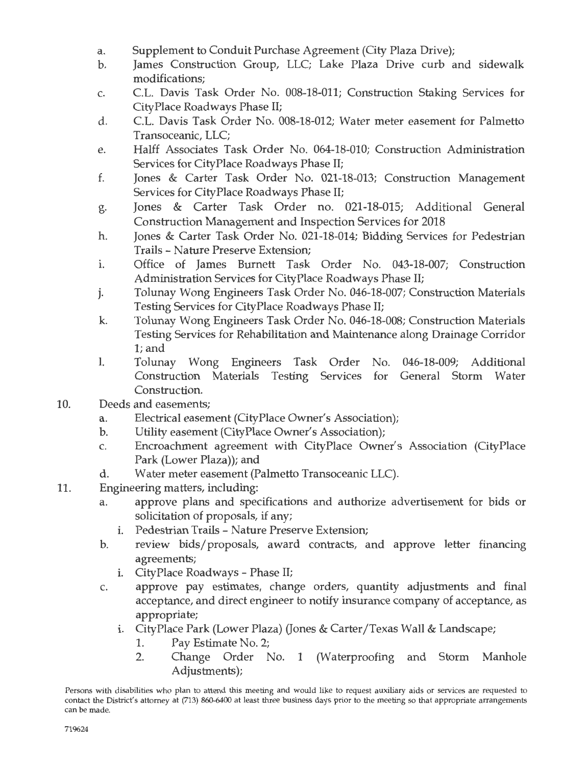- a. Supplement to Conduit Purchase Agreement (City Plaza Drive);
- b. James Construction Group, LLC; Lake Plaza Drive curb and sidewalk modifications;
- c. C.L. Davis Task Order No. 008-18-011; Construction Staking Services for CityPlace Roadways Phase II;
- d. C.L. Davis Task Order No. 008-18-012; Water meter easement for Palmetto Transoceanic, LLC;
- e. Halff Associates Task Order No. 064-18-010; Construction Administration Services for CityPlace Roadways Phase II;
- f. Jones & Carter Task Order No. 021-18-013; Construction Management Services for CityPlace Roadways Phase II;
- g. Jones & Carter Task Order no. 021-18-015; Additional General Construction Management and Inspection Services for 2018
- h. Jones & Carter Task Order No. 021-18-014; Bidding Services for Pedestrian Trails - Nature Preserve Extension;
- i. Office of James Burnett Task Order No. 043-18-007; Construction Administration Services for City Place Roadways Phase II;
- j. Tolunay Wong Engineers Task Order No. 046-18-007; Construction Materials Testing Services for City Place Roadways Phase II;
- k. Tolunay Wong Engineers Task Order No. 046-18-008; Construction Materials Testing Services for Rehabilitation and Maintenance along Drainage Corridor l;and
- I. Tolunay Wong Engineers Task Order No. 046-18-009; Additional Construction Materials Testing Services for General Storm Water Construction.
- 10. Deeds and easements;
	- a. Electrical easement (CityPlace Owner's Association);
	- b. Utility easement (CityPlace Owner's Association);
	- c. Encroachment agreement with CityPlace Owner's Association (CityPlace Park (Lower Plaza)); and
	- d. Water meter easement (Palmetto Transoceanic LLC).
- 11. Engineering matters, including:
	- a. approve plans and specifications and authorize advertisement for bids or solicitation of proposals, if any;
		- i. Pedestrian Trails Nature Preserve Extension;
	- b. review bids/proposals, award contracts, and approve letter financing agreements;
		- i. CityPlace Roadways Phase II;
	- c. approve pay estimates, change orders, quantity adjustments and final acceptance, and direct engineer to notify insurance company of acceptance, as appropriate;
		- i. CityPlace Park (Lower Plaza) (Jones & Carter/Texas Wall & Landscape;
			- 1. Pay Estimate No. 2;
			- 2. Change Order No. 1 (Waterproofing and Storm Manhole Adjustments);

Persons with disabilities who plan to attend this meeting and would like to request auxiliary aids or services are requested to con tact the District's attorney at (713) 860-6400 at least three business days prior to the meeting so that appropriate arrangements can be made.